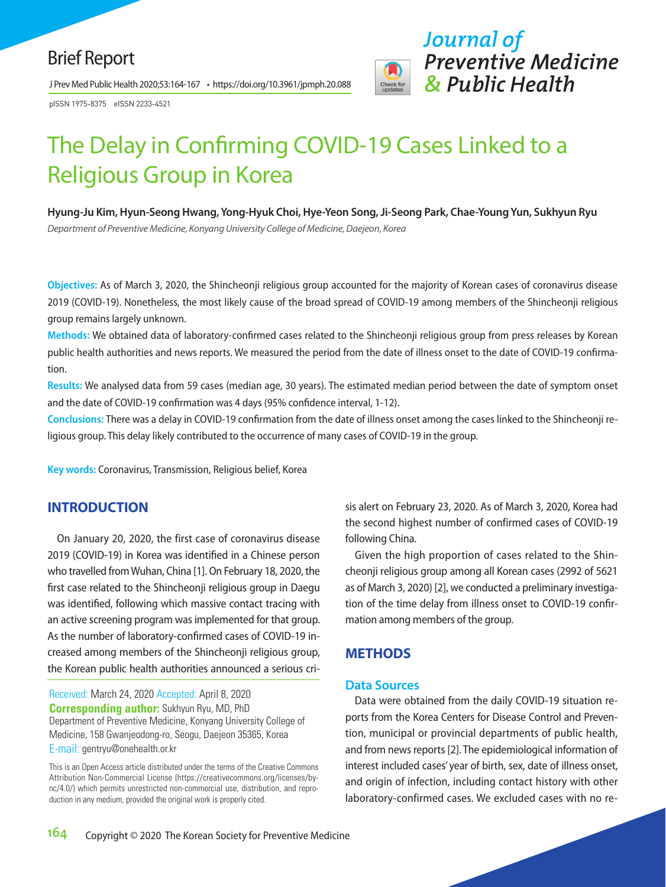J Prev Med Public Health 2020;53:164-167 • https://doi.org/10.3961/jpmph.20.088

pISSN 1975-8375 eISSN 2233-4521



# The Delay in Confirming COVID-19 Cases Linked to a Religious Group in Korea

**Hyung-Ju Kim, Hyun-Seong Hwang, Yong-Hyuk Choi, Hye-Yeon Song, Ji-Seong Park, Chae-Young Yun, Sukhyun Ryu**  *Department of Preventive Medicine, Konyang University College of Medicine, Daejeon, Korea*

**Objectives:** As of March 3, 2020, the Shincheonji religious group accounted for the majority of Korean cases of coronavirus disease 2019 (COVID-19). Nonetheless, the most likely cause of the broad spread of COVID-19 among members of the Shincheonji religious group remains largely unknown.

**Methods:** We obtained data of laboratory-confirmed cases related to the Shincheonji religious group from press releases by Korean public health authorities and news reports. We measured the period from the date of illness onset to the date of COVID-19 confirmation.

**Results:** We analysed data from 59 cases (median age, 30 years). The estimated median period between the date of symptom onset and the date of COVID-19 confirmation was 4 days (95% confidence interval, 1-12).

**Conclusions:** There was a delay in COVID-19 confirmation from the date of illness onset among the cases linked to the Shincheonji religious group. This delay likely contributed to the occurrence of many cases of COVID-19 in the group.

**Key words:** Coronavirus, Transmission, Religious belief, Korea

## **INTRODUCTION**

On January 20, 2020, the first case of coronavirus disease 2019 (COVID-19) in Korea was identified in a Chinese person who travelled from Wuhan, China [1]. On February 18, 2020, the first case related to the Shincheonji religious group in Daegu was identified, following which massive contact tracing with an active screening program was implemented for that group. As the number of laboratory-confirmed cases of COVID-19 increased among members of the Shincheonji religious group, the Korean public health authorities announced a serious cri-

Received: March 24, 2020 Accepted: April 8, 2020 **Corresponding author:** Sukhyun Ryu, MD, PhD Department of Preventive Medicine, Konyang University College of Medicine, 158 Gwanjeodong-ro, Seogu, Daejeon 35365, Korea E-mail: gentryu@onehealth.or.kr

This is an Open Access article distributed under the terms of the Creative Commons Attribution Non-Commercial License (https://creativecommons.org/licenses/bync/4.0/) which permits unrestricted non-commercial use, distribution, and reproduction in any medium, provided the original work is properly cited.

sis alert on February 23, 2020. As of March 3, 2020, Korea had the second highest number of confirmed cases of COVID-19 following China.

Given the high proportion of cases related to the Shincheonji religious group among all Korean cases (2992 of 5621 as of March 3, 2020) [2], we conducted a preliminary investigation of the time delay from illness onset to COVID-19 confirmation among members of the group.

## **METHODS**

#### **Data Sources**

Data were obtained from the daily COVID-19 situation reports from the Korea Centers for Disease Control and Prevention, municipal or provincial departments of public health, and from news reports [2]. The epidemiological information of interest included cases' year of birth, sex, date of illness onset, and origin of infection, including contact history with other laboratory-confirmed cases. We excluded cases with no re-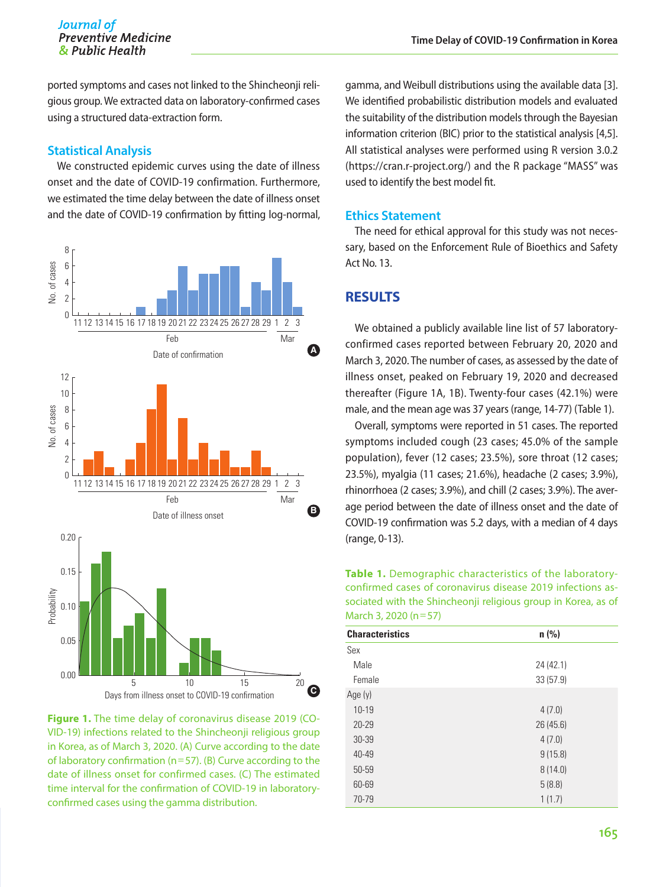# Journal of *Preventive Medicine*<br> *A*<sub>z</sub> *Public Health*

ported symptoms and cases not linked to the Shincheonji religious group. We extracted data on laboratory-confirmed cases using a structured data-extraction form.

#### **Statistical Analysis**

We constructed epidemic curves using the date of illness onset and the date of COVID-19 confirmation. Furthermore, we estimated the time delay between the date of illness onset and the date of COVID-19 confirmation by fitting log-normal,



**Figure 1.** The time delay of coronavirus disease 2019 (CO-VID-19) infections related to the Shincheonji religious group in Korea, as of March 3, 2020. (A) Curve according to the date of laboratory confirmation (n=57). (B) Curve according to the date of illness onset for confirmed cases. (C) The estimated time interval for the confirmation of COVID-19 in laboratoryconfirmed cases using the gamma distribution.

gamma, and Weibull distributions using the available data [3]. We identified probabilistic distribution models and evaluated the suitability of the distribution models through the Bayesian information criterion (BIC) prior to the statistical analysis [4,5]. All statistical analyses were performed using R version 3.0.2 (https://cran.r-project.org/) and the R package "MASS" was used to identify the best model fit.

#### **Ethics Statement**

The need for ethical approval for this study was not necessary, based on the Enforcement Rule of Bioethics and Safety Act No. 13.

#### **RESULTS**

We obtained a publicly available line list of 57 laboratoryconfirmed cases reported between February 20, 2020 and March 3, 2020. The number of cases, as assessed by the date of illness onset, peaked on February 19, 2020 and decreased thereafter (Figure 1A, 1B). Twenty-four cases (42.1%) were male, and the mean age was 37 years (range, 14-77) (Table 1).

Overall, symptoms were reported in 51 cases. The reported symptoms included cough (23 cases; 45.0% of the sample population), fever (12 cases; 23.5%), sore throat (12 cases; 23.5%), myalgia (11 cases; 21.6%), headache (2 cases; 3.9%), rhinorrhoea (2 cases; 3.9%), and chill (2 cases; 3.9%). The average period between the date of illness onset and the date of COVID-19 confirmation was 5.2 days, with a median of 4 days (range, 0-13).

**Table 1.** Demographic characteristics of the laboratoryconfirmed cases of coronavirus disease 2019 infections associated with the Shincheonji religious group in Korea, as of March 3, 2020 (n=57)

| <b>Characteristics</b> | $n$ (%)   |  |  |
|------------------------|-----------|--|--|
| Sex                    |           |  |  |
| Male                   | 24 (42.1) |  |  |
| Female                 | 33(57.9)  |  |  |
| Age $(y)$              |           |  |  |
| $10 - 19$              | 4(7.0)    |  |  |
| $20 - 29$              | 26(45.6)  |  |  |
| 30-39                  | 4(7.0)    |  |  |
| 40-49                  | 9(15.8)   |  |  |
| 50-59                  | 8(14.0)   |  |  |
| 60-69                  | 5(8.8)    |  |  |
| 70-79                  | 1(1.7)    |  |  |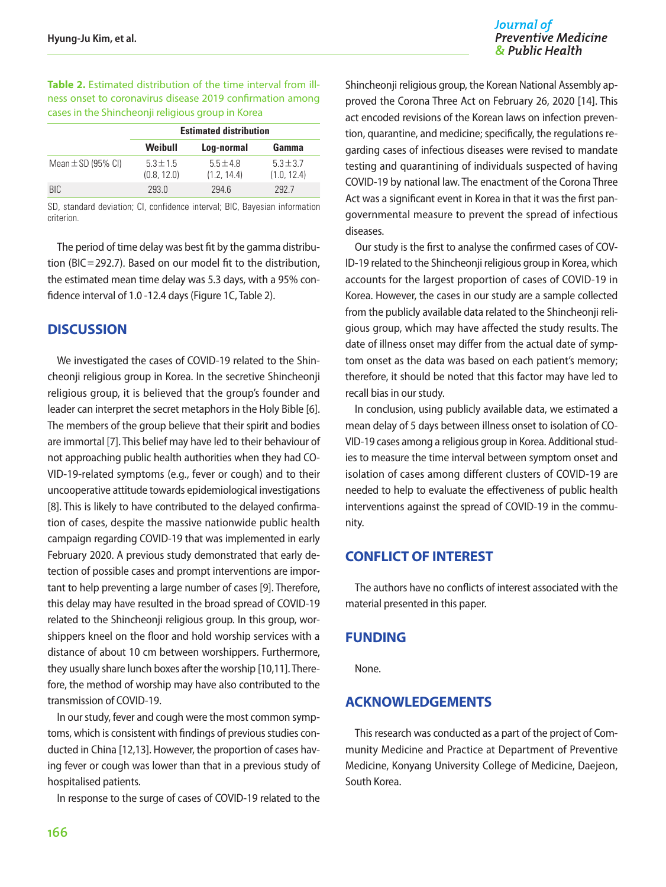Journal of **Preventive Medicine** & Public Health

**Table 2.** Estimated distribution of the time interval from illness onset to coronavirus disease 2019 confirmation among cases in the Shincheonji religious group in Korea

|                        | <b>Estimated distribution</b> |                             |                             |
|------------------------|-------------------------------|-----------------------------|-----------------------------|
|                        | Weibull                       | Log-normal                  | Gamma                       |
| Mean $\pm$ SD (95% CI) | $5.3 \pm 1.5$<br>(0.8, 12.0)  | $5.5 \pm 4.8$<br>(1.2.14.4) | $5.3 \pm 3.7$<br>(1.0.12.4) |
| BIC.                   | 2930                          | 294 6                       | 2927                        |

SD, standard deviation; CI, confidence interval; BIC, Bayesian information criterion.

The period of time delay was best fit by the gamma distribution (BIC=292.7). Based on our model fit to the distribution, the estimated mean time delay was 5.3 days, with a 95% confidence interval of 1.0 -12.4 days (Figure 1C, Table 2).

## **DISCUSSION**

We investigated the cases of COVID-19 related to the Shincheonji religious group in Korea. In the secretive Shincheonji religious group, it is believed that the group's founder and leader can interpret the secret metaphors in the Holy Bible [6]. The members of the group believe that their spirit and bodies are immortal [7]. This belief may have led to their behaviour of not approaching public health authorities when they had CO-VID-19-related symptoms (e.g., fever or cough) and to their uncooperative attitude towards epidemiological investigations [8]. This is likely to have contributed to the delayed confirmation of cases, despite the massive nationwide public health campaign regarding COVID-19 that was implemented in early February 2020. A previous study demonstrated that early detection of possible cases and prompt interventions are important to help preventing a large number of cases [9]. Therefore, this delay may have resulted in the broad spread of COVID-19 related to the Shincheonji religious group. In this group, worshippers kneel on the floor and hold worship services with a distance of about 10 cm between worshippers. Furthermore, they usually share lunch boxes after the worship [10,11]. Therefore, the method of worship may have also contributed to the transmission of COVID-19.

In our study, fever and cough were the most common symptoms, which is consistent with findings of previous studies conducted in China [12,13]. However, the proportion of cases having fever or cough was lower than that in a previous study of hospitalised patients.

In response to the surge of cases of COVID-19 related to the

Shincheonji religious group, the Korean National Assembly approved the Corona Three Act on February 26, 2020 [14]. This act encoded revisions of the Korean laws on infection prevention, quarantine, and medicine; specifically, the regulations regarding cases of infectious diseases were revised to mandate testing and quarantining of individuals suspected of having COVID-19 by national law. The enactment of the Corona Three Act was a significant event in Korea in that it was the first pangovernmental measure to prevent the spread of infectious diseases.

Our study is the first to analyse the confirmed cases of COV-ID-19 related to the Shincheonji religious group in Korea, which accounts for the largest proportion of cases of COVID-19 in Korea. However, the cases in our study are a sample collected from the publicly available data related to the Shincheonji religious group, which may have affected the study results. The date of illness onset may differ from the actual date of symptom onset as the data was based on each patient's memory; therefore, it should be noted that this factor may have led to recall bias in our study.

In conclusion, using publicly available data, we estimated a mean delay of 5 days between illness onset to isolation of CO-VID-19 cases among a religious group in Korea. Additional studies to measure the time interval between symptom onset and isolation of cases among different clusters of COVID-19 are needed to help to evaluate the effectiveness of public health interventions against the spread of COVID-19 in the community.

## **CONFLICT OF INTEREST**

The authors have no conflicts of interest associated with the material presented in this paper.

#### **FUNDING**

None.

## **ACKNOWLEDGEMENTS**

This research was conducted as a part of the project of Community Medicine and Practice at Department of Preventive Medicine, Konyang University College of Medicine, Daejeon, South Korea.